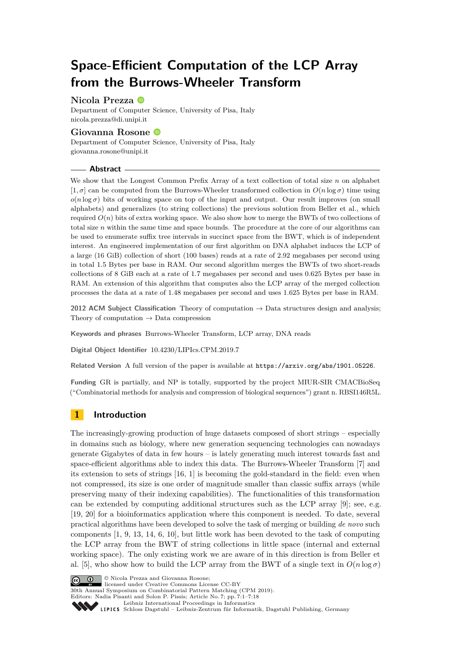# **Space-Efficient Computation of the LCP Array from the Burrows-Wheeler Transform**

## **Nicola Prezza**

Department of Computer Science, University of Pisa, Italy [nicola.prezza@di.unipi.it](mailto:nicola.prezza@di.unipi.it)

# **Giovanna Rosone**

Department of Computer Science, University of Pisa, Italy [giovanna.rosone@unipi.it](mailto:giovanna.rosone@unipi.it)

## **Abstract**

We show that the Longest Common Prefix Array of a text collection of total size *n* on alphabet  $[1, \sigma]$  can be computed from the Burrows-Wheeler transformed collection in  $O(n \log \sigma)$  time using  $o(n \log \sigma)$  bits of working space on top of the input and output. Our result improves (on small alphabets) and generalizes (to string collections) the previous solution from Beller et al., which required  $O(n)$  bits of extra working space. We also show how to merge the BWTs of two collections of total size *n* within the same time and space bounds. The procedure at the core of our algorithms can be used to enumerate suffix tree intervals in succinct space from the BWT, which is of independent interest. An engineered implementation of our first algorithm on DNA alphabet induces the LCP of a large (16 GiB) collection of short (100 bases) reads at a rate of 2*.*92 megabases per second using in total 1*.*5 Bytes per base in RAM. Our second algorithm merges the BWTs of two short-reads collections of 8 GiB each at a rate of 1*.*7 megabases per second and uses 0*.*625 Bytes per base in RAM. An extension of this algorithm that computes also the LCP array of the merged collection processes the data at a rate of 1*.*48 megabases per second and uses 1*.*625 Bytes per base in RAM.

**2012 ACM Subject Classification** Theory of computation → Data structures design and analysis; Theory of computation  $\rightarrow$  Data compression

**Keywords and phrases** Burrows-Wheeler Transform, LCP array, DNA reads

**Digital Object Identifier** [10.4230/LIPIcs.CPM.2019.7](https://doi.org/10.4230/LIPIcs.CPM.2019.7)

**Related Version** A full version of the paper is available at <https://arxiv.org/abs/1901.05226>.

**Funding** GR is partially, and NP is totally, supported by the project MIUR-SIR CMACBioSeq ("Combinatorial methods for analysis and compression of biological sequences") grant n. RBSI146R5L.

# **1 Introduction**

The increasingly-growing production of huge datasets composed of short strings – especially in domains such as biology, where new generation sequencing technologies can nowadays generate Gigabytes of data in few hours – is lately generating much interest towards fast and space-efficient algorithms able to index this data. The Burrows-Wheeler Transform [\[7\]](#page-12-0) and its extension to sets of strings [\[16,](#page-12-1) [1\]](#page-12-2) is becoming the gold-standard in the field: even when not compressed, its size is one order of magnitude smaller than classic suffix arrays (while preserving many of their indexing capabilities). The functionalities of this transformation can be extended by computing additional structures such as the LCP array [\[9\]](#page-12-3); see, e.g. [\[19,](#page-12-4) [20\]](#page-13-0) for a bioinformatics application where this component is needed. To date, several practical algorithms have been developed to solve the task of merging or building *de novo* such components [\[1,](#page-12-2) [9,](#page-12-3) [13,](#page-12-5) [14,](#page-12-6) [6,](#page-12-7) [10\]](#page-12-8), but little work has been devoted to the task of computing the LCP array from the BWT of string collections in little space (internal and external working space). The only existing work we are aware of in this direction is from Beller et al. [\[5\]](#page-12-9), who show how to build the LCP array from the BWT of a single text in  $O(n \log \sigma)$ 



**C**  $\bullet$   $\bullet$  Nicola Prezza and Giovanna Rosone:

licensed under Creative Commons License CC-BY 30th Annual Symposium on Combinatorial Pattern Matching (CPM 2019).

Editors: Nadia Pisanti and Solon P. Pissis; Article No. 7; pp. 7:1–7[:18](#page-17-0)

[Leibniz International Proceedings in Informatics](https://www.dagstuhl.de/lipics/)

Leibniz international Floretungs in miximismos<br>
LIPICS [Schloss Dagstuhl – Leibniz-Zentrum für Informatik, Dagstuhl Publishing, Germany](https://www.dagstuhl.de)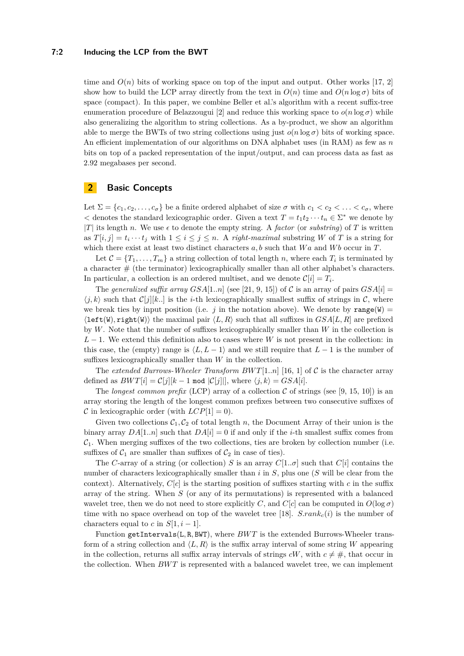#### **7:2 Inducing the LCP from the BWT**

time and  $O(n)$  bits of working space on top of the input and output. Other works [\[17,](#page-12-10) [2\]](#page-12-11) show how to build the LCP array directly from the text in  $O(n)$  time and  $O(n \log \sigma)$  bits of space (compact). In this paper, we combine Beller et al.'s algorithm with a recent suffix-tree enumeration procedure of Belazzougui [\[2\]](#page-12-11) and reduce this working space to  $o(n \log \sigma)$  while also generalizing the algorithm to string collections. As a by-product, we show an algorithm able to merge the BWTs of two string collections using just  $o(n \log \sigma)$  bits of working space. An efficient implementation of our algorithms on DNA alphabet uses (in RAM) as few as *n* bits on top of a packed representation of the input/output, and can process data as fast as 2*.*92 megabases per second.

## <span id="page-1-0"></span>**2 Basic Concepts**

Let  $\Sigma = \{c_1, c_2, \ldots, c_{\sigma}\}\$ be a finite ordered alphabet of size  $\sigma$  with  $c_1 < c_2 < \ldots < c_{\sigma}$ , where  $\lt$  denotes the standard lexicographic order. Given a text  $T = t_1 t_2 \cdots t_n \in \Sigma^*$  we denote by |*T*| its length *n*. We use  $\epsilon$  to denote the empty string. A *factor* (or *substring*) of *T* is written as  $T[i, j] = t_i \cdots t_j$  with  $1 \leq i \leq j \leq n$ . A *right-maximal* substring *W* of *T* is a string for which there exist at least two distinct characters *a, b* such that *W a* and *W b* occur in *T*.

Let  $C = \{T_1, \ldots, T_m\}$  a string collection of total length *n*, where each  $T_i$  is terminated by a character  $#$  (the terminator) lexicographically smaller than all other alphabet's characters. In particular, a collection is an ordered multiset, and we denote  $\mathcal{C}[i] = T_i$ .

The *generalized suffix array*  $GSA[1..n]$  (see [\[21,](#page-13-1) [9,](#page-12-3) [15\]](#page-12-12)) of C is an array of pairs  $GSA[i]$  $\langle i, k \rangle$  such that  $\mathcal{C}[i][k]$ . is the *i*-th lexicographically smallest suffix of strings in C, where we break ties by input position (i.e. *j* in the notation above). We denote by range(W) =  $\langle \text{left(W)}, \text{right(W)} \rangle$  the maximal pair  $\langle L, R \rangle$  such that all suffixes in *GSA*[*L, R*] are prefixed by *W*. Note that the number of suffixes lexicographically smaller than *W* in the collection is *L* − 1. We extend this definition also to cases where *W* is not present in the collection: in this case, the (empty) range is  $\langle L, L-1 \rangle$  and we still require that  $L-1$  is the number of suffixes lexicographically smaller than *W* in the collection.

The *extended Burrows-Wheeler Transform*  $BWT[1..n]$  *[\[16,](#page-12-1) [1\]](#page-12-2) of C is the character array* defined as  $BWT[i] = C[j][k-1 \mod |C[j]]$ , where  $\langle j, k \rangle = GSA[i]$ .

The *longest common prefix* (LCP) array of a collection C of strings (see [\[9,](#page-12-3) [15,](#page-12-12) [10\]](#page-12-8)) is an array storing the length of the longest common prefixes between two consecutive suffixes of C in lexicographic order (with  $LCP[1] = 0$ ).

Given two collections  $C_1$ ,  $C_2$  of total length *n*, the Document Array of their union is the binary array  $DA[1..n]$  such that  $DA[i] = 0$  if and only if the *i*-th smallest suffix comes from  $C_1$ . When merging suffixes of the two collections, ties are broken by collection number (i.e. suffixes of  $C_1$  are smaller than suffixes of  $C_2$  in case of ties).

The *C*-array of a string (or collection) *S* is an array  $C[1..\sigma]$  such that  $C[i]$  contains the number of characters lexicographically smaller than *i* in *S*, plus one (*S* will be clear from the context). Alternatively,  $C[c]$  is the starting position of suffixes starting with c in the suffix array of the string. When *S* (or any of its permutations) is represented with a balanced wavelet tree, then we do not need to store explicitly *C*, and  $C[c]$  can be computed in  $O(\log \sigma)$ time with no space overhead on top of the wavelet tree [\[18\]](#page-12-13).  $S.rank_c(i)$  is the number of characters equal to *c* in  $S[1, i-1]$ .

Function getIntervals(L, R, BWT), where  $BWT$  is the extended Burrows-Wheeler transform of a string collection and  $\langle L, R \rangle$  is the suffix array interval of some string *W* appearing in the collection, returns all suffix array intervals of strings  $cW$ , with  $c \neq \#$ , that occur in the collection. When *BW T* is represented with a balanced wavelet tree, we can implement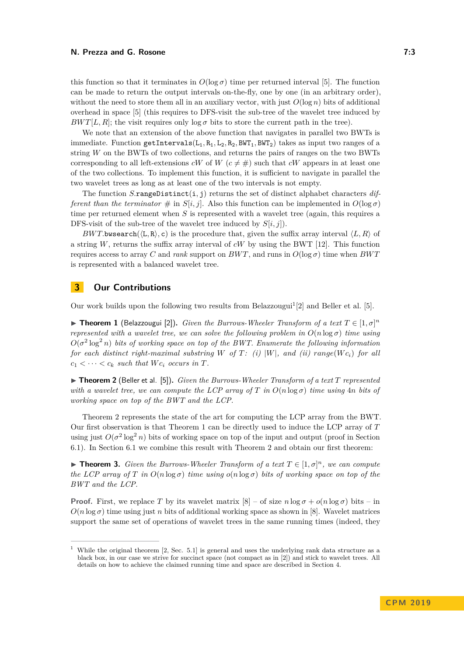this function so that it terminates in  $O(\log \sigma)$  time per returned interval [\[5\]](#page-12-9). The function can be made to return the output intervals on-the-fly, one by one (in an arbitrary order), without the need to store them all in an auxiliary vector, with just  $O(\log n)$  bits of additional overhead in space [\[5\]](#page-12-9) (this requires to DFS-visit the sub-tree of the wavelet tree induced by *BWT*[*L, R*]; the visit requires only  $\log \sigma$  bits to store the current path in the tree).

We note that an extension of the above function that navigates in parallel two BWTs is immediate. Function getIntervals( $L_1, R_1, L_2, R_2, BWT_1, BWT_2$ ) takes as input two ranges of a string *W* on the BWTs of two collections, and returns the pairs of ranges on the two BWTs corresponding to all left-extensions *cW* of *W* ( $c \neq \#$ ) such that *cW* appears in at least one of the two collections. To implement this function, it is sufficient to navigate in parallel the two wavelet trees as long as at least one of the two intervals is not empty.

The function *S.*rangeDistinct(i*,* j) returns the set of distinct alphabet characters *different than the terminator*  $\#$  in *S*[*i, j*]. Also this function can be implemented in  $O(\log \sigma)$ time per returned element when *S* is represented with a wavelet tree (again, this requires a DFS-visit of the sub-tree of the wavelet tree induced by  $S[i, j]$ ).

*BWT*.bwsearch( $\langle L, R \rangle$ , c) is the procedure that, given the suffix array interval  $\langle L, R \rangle$  of a string  $W$ , returns the suffix array interval of  $cW$  by using the BWT [\[12\]](#page-12-14). This function requires access to array *C* and *rank* support on *BWT*, and runs in  $O(\log \sigma)$  time when *BWT* is represented with a balanced wavelet tree.

## **3 Our Contributions**

Our work builds upon the following two results from Belazzougui<sup>[1](#page-2-0)</sup>[\[2\]](#page-12-11) and Beller et al. [\[5\]](#page-12-9).

<span id="page-2-2"></span>**Figure 1** (Belazzougui [\[2\]](#page-12-11)). *Given the Burrows-Wheeler Transform of a text*  $T \in [1, \sigma]^n$ *represented with a wavelet tree, we can solve the following problem in*  $O(n \log \sigma)$  *time using*  $O(\sigma^2 \log^2 n)$  bits of working space on top of the BWT. Enumerate the following information *for each distinct right-maximal substring*  $W$  *of*  $T$ *: (i)*  $|W|$ *, and (ii)*  $range(Wc_i)$  *for all*  $c_1 < \cdots < c_k$  *such that*  $Wc_i$  *occurs in*  $T$ *.* 

<span id="page-2-1"></span> $\triangleright$  **Theorem 2** (Beller et al. [\[5\]](#page-12-9)). *Given the Burrows-Wheeler Transform of a text T represented with a wavelet tree, we can compute the LCP array of T in*  $O(n \log \sigma)$  *time using* 4*n bits of working space on top of the BWT and the LCP.*

Theorem [2](#page-2-1) represents the state of the art for computing the LCP array from the BWT. Our first observation is that Theorem [1](#page-2-2) can be directly used to induce the LCP array of *T* using just  $O(\sigma^2 \log^2 n)$  bits of working space on top of the input and output (proof in Section [6.1\)](#page-5-0). In Section [6.1](#page-5-0) we combine this result with Theorem [2](#page-2-1) and obtain our first theorem:

<span id="page-2-3"></span>**► Theorem 3.** *Given the Burrows-Wheeler Transform of a text*  $T \in [1, \sigma]^n$ *, we can compute the LCP array of T in*  $O(n \log \sigma)$  *time using*  $o(n \log \sigma)$  *bits of working space on top of the BWT and the LCP.*

**Proof.** First, we replace *T* by its wavelet matrix  $[8]$  – of size  $n \log \sigma + o(n \log \sigma)$  bits – in  $O(n \log \sigma)$  time using just *n* bits of additional working space as shown in [\[8\]](#page-12-15). Wavelet matrices support the same set of operations of wavelet trees in the same running times (indeed, they

<span id="page-2-0"></span><sup>1</sup> While the original theorem [\[2,](#page-12-11) Sec. 5.1] is general and uses the underlying rank data structure as a black box, in our case we strive for succinct space (not compact as in [\[2\]](#page-12-11)) and stick to wavelet trees. All details on how to achieve the claimed running time and space are described in Section [4.](#page-3-0)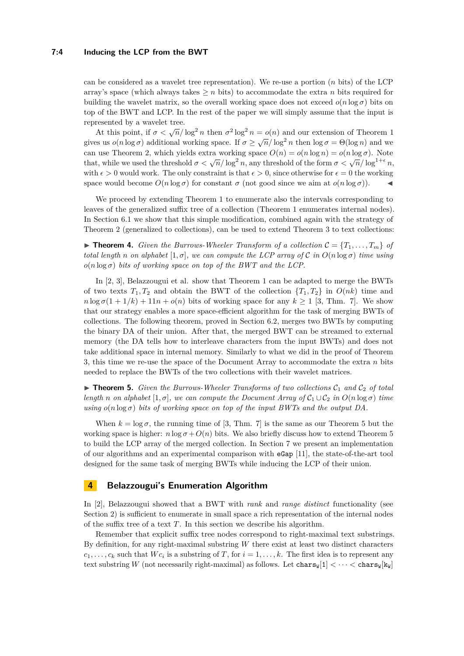#### **7:4 Inducing the LCP from the BWT**

can be considered as a wavelet tree representation). We re-use a portion (*n* bits) of the LCP array's space (which always takes  $\geq n$  bits) to accommodate the extra *n* bits required for building the wavelet matrix, so the overall working space does not exceed  $o(n \log \sigma)$  bits on top of the BWT and LCP. In the rest of the paper we will simply assume that the input is represented by a wavelet tree.

At this point, if  $\sigma < \sqrt{n}/\log^2 n$  then  $\sigma^2 \log^2 n = o(n)$  and our extension of Theorem [1](#page-2-2) gives us  $o(n \log \sigma)$  additional working space. If  $\sigma \ge \sqrt{n}/\log^2 n$  then  $\log \sigma = \Theta(\log n)$  and we can use Theorem [2,](#page-2-1) which yields extra working space  $O(n) = o(n \log n) = o(n \log \sigma)$ . Note that, while we used the threshold  $\sigma < \sqrt{n}/\log^2 n$ , any threshold of the form  $\sigma < \sqrt{n}/\log^{1+\epsilon} n$ , with  $\epsilon > 0$  would work. The only constraint is that  $\epsilon > 0$ , since otherwise for  $\epsilon = 0$  the working space would become  $O(n \log \sigma)$  for constant  $\sigma$  (not good since we aim at  $o(n \log \sigma)$ ).

We proceed by extending Theorem [1](#page-2-2) to enumerate also the intervals corresponding to leaves of the generalized suffix tree of a collection (Theorem [1](#page-2-2) enumerates internal nodes). In Section [6.1](#page-5-0) we show that this simple modification, combined again with the strategy of Theorem [2](#page-2-1) (generalized to collections), can be used to extend Theorem [3](#page-2-3) to text collections:

<span id="page-3-2"></span> $\triangleright$  **Theorem 4.** *Given the Burrows-Wheeler Transform of a collection*  $\mathcal{C} = \{T_1, \ldots, T_m\}$  *of total length n on alphabet*  $[1, \sigma]$ *, we can compute the LCP array of*  $\mathcal{C}$  *in*  $O(n \log \sigma)$  *time using*  $o(n \log \sigma)$  *bits of working space on top of the BWT and the LCP.* 

In [\[2,](#page-12-11) [3\]](#page-12-16), Belazzougui et al. show that Theorem [1](#page-2-2) can be adapted to merge the BWTs of two texts  $T_1, T_2$  and obtain the BWT of the collection  $\{T_1, T_2\}$  in  $O(nk)$  time and  $n \log \sigma(1 + 1/k) + 11n + o(n)$  bits of working space for any  $k \ge 1$  [\[3,](#page-12-16) Thm. 7]. We show that our strategy enables a more space-efficient algorithm for the task of merging BWTs of collections. The following theorem, proved in Section [6.2,](#page-7-0) merges two BWTs by computing the binary DA of their union. After that, the merged BWT can be streamed to external memory (the DA tells how to interleave characters from the input BWTs) and does not take additional space in internal memory. Similarly to what we did in the proof of Theorem [3,](#page-2-3) this time we re-use the space of the Document Array to accommodate the extra *n* bits needed to replace the BWTs of the two collections with their wavelet matrices.

<span id="page-3-1"></span> $\triangleright$  **Theorem 5.** *Given the Burrows-Wheeler Transforms of two collections*  $C_1$  *and*  $C_2$  *of total length n on alphabet* [1*, σ*]*, we can compute the Document Array of*  $C_1 \cup C_2$  *in*  $O(n \log \sigma)$  *time using*  $o(n \log \sigma)$  *bits of working space on top of the input BWTs and the output DA.* 

When  $k = \log \sigma$ , the running time of [\[3,](#page-12-16) Thm. 7] is the same as our Theorem [5](#page-3-1) but the working space is higher:  $n \log \sigma + O(n)$  bits. We also briefly discuss how to extend Theorem [5](#page-3-1) to build the LCP array of the merged collection. In Section [7](#page-8-0) we present an implementation of our algorithms and an experimental comparison with eGap [\[11\]](#page-12-17), the state-of-the-art tool designed for the same task of merging BWTs while inducing the LCP of their union.

## <span id="page-3-0"></span>**4 Belazzougui's Enumeration Algorithm**

In [\[2\]](#page-12-11), Belazzougui showed that a BWT with *rank* and *range distinct* functionality (see Section [2\)](#page-1-0) is sufficient to enumerate in small space a rich representation of the internal nodes of the suffix tree of a text *T*. In this section we describe his algorithm.

Remember that explicit suffix tree nodes correspond to right-maximal text substrings. By definition, for any right-maximal substring *W* there exist at least two distinct characters  $c_1, \ldots, c_k$  such that  $W c_i$  is a substring of *T*, for  $i = 1, \ldots, k$ . The first idea is to represent any text substring *W* (not necessarily right-maximal) as follows. Let  $\text{char}_S[\mathbf{1}] < \cdots < \text{char}_S[\mathbf{k}_N]$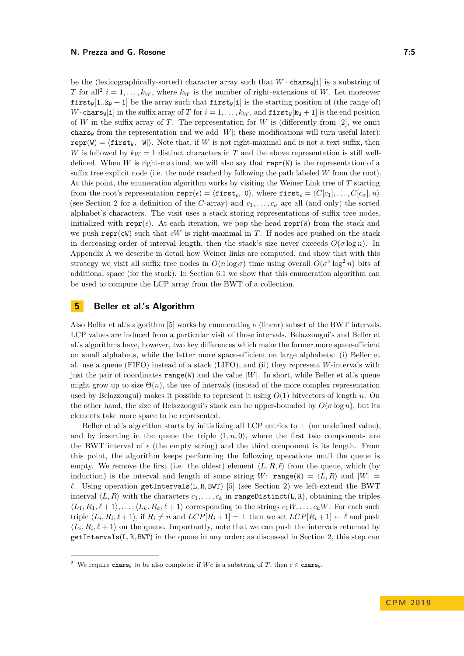be the (lexicographically-sorted) character array such that  $W \cdot \text{chars}_{W}[i]$  is a substring of *T* for all<sup>[2](#page-4-0)</sup>  $i = 1, \ldots, k_W$ , where  $k_W$  is the number of right-extensions of *W*. Let moreover **first**W[1*..kW* + 1] be the array such that **first**W[i] is the starting position of (the range of) *W* · chars<sub>W</sub>[i] in the suffix array of *T* for  $i = 1, ..., k_W$ , and **first**<sub>W</sub>[k<sub>W</sub> + 1] is the end position of *W* in the suffix array of *T*. The representation for *W* is (differently from [\[2\]](#page-12-11), we omit chars<sub>W</sub> from the representation and we add  $|W|$ ; these modifications will turn useful later):  $\text{repr}(W) = \{\text{first}_W, |W|\}.$  Note that, if *W* is not right-maximal and is not a text suffix, then *W* is followed by  $k_W = 1$  distinct characters in *T* and the above representation is still welldefined. When *W* is right-maximal, we will also say that  $\mathbf{repr}(W)$  is the representation of a suffix tree explicit node (i.e. the node reached by following the path labeled *W* from the root). At this point, the enumeration algorithm works by visiting the Weiner Link tree of *T* starting from the root's representation  $\text{repr}(\epsilon) = \langle \text{first}_{\epsilon}, 0 \rangle$ , where  $\text{first}_{\epsilon} = \langle C[c_1], \ldots, C[c_{\sigma}], n \rangle$ (see Section [2](#page-1-0) for a definition of the *C*-array) and  $c_1, \ldots, c_\sigma$  are all (and only) the sorted alphabet's characters. The visit uses a stack storing representations of suffix tree nodes, initialized with repr( $\epsilon$ ). At each iteration, we pop the head repr(W) from the stack and we push repr(cW) such that  $cW$  is right-maximal in *T*. If nodes are pushed on the stack in decreasing order of interval length, then the stack's size never exceeds  $O(\sigma \log n)$ . In Appendix [A](#page-13-2) we describe in detail how Weiner links are computed, and show that with this strategy we visit all suffix tree nodes in  $O(n \log \sigma)$  time using overall  $O(\sigma^2 \log^2 n)$  bits of additional space (for the stack). In Section [6.1](#page-5-0) we show that this enumeration algorithm can be used to compute the LCP array from the BWT of a collection.

# **5 Beller et al.'s Algorithm**

Also Beller et al.'s algorithm [\[5\]](#page-12-9) works by enumerating a (linear) subset of the BWT intervals. LCP values are induced from a particular visit of those intervals. Belazzougui's and Beller et al.'s algorithms have, however, two key differences which make the former more space-efficient on small alphabets, while the latter more space-efficient on large alphabets: (i) Beller et al. use a queue (FIFO) instead of a stack (LIFO), and (ii) they represent *W*-intervals with just the pair of coordinates  $\text{range}(W)$  and the value  $|W|$ . In short, while Beller et al.'s queue might grow up to size  $\Theta(n)$ , the use of intervals (instead of the more complex representation used by Belazzougui) makes it possible to represent it using *O*(1) bitvectors of length *n*. On the other hand, the size of Belazzougui's stack can be upper-bounded by  $O(\sigma \log n)$ , but its elements take more space to be represented.

Beller et al.'s algorithm starts by initializing all LCP entries to  $\perp$  (an undefined value), and by inserting in the queue the triple  $\langle 1, n, 0 \rangle$ , where the first two components are the BWT interval of  $\epsilon$  (the empty string) and the third component is its length. From this point, the algorithm keeps performing the following operations until the queue is empty. We remove the first (i.e. the oldest) element  $\langle L, R, \ell \rangle$  from the queue, which (by induction) is the interval and length of some string *W*: range(W) =  $\langle L, R \rangle$  and  $|W|$  =  $\ell$ . Using operation getIntervals(L, R, BWT) [\[5\]](#page-12-9) (see Section [2\)](#page-1-0) we left-extend the BWT interval  $\langle L, R \rangle$  with the characters  $c_1, \ldots, c_k$  in rangeDistinct(L, R), obtaining the triples  $\langle L_1, R_1, \ell + 1 \rangle, \ldots, \langle L_k, R_k, \ell + 1 \rangle$  corresponding to the strings  $c_1 W, \ldots, c_k W$ . For each such triple  $\langle L_i, R_i, \ell + 1 \rangle$ , if  $R_i \neq n$  and  $LCP[R_i + 1] = \bot$  then we set  $LCP[R_i + 1] \leftarrow \ell$  and push  $\langle L_i, R_i, \ell+1 \rangle$  on the queue. Importantly, note that we can push the intervals returned by getIntervals(L*,* R*,* BWT) in the queue in any order; as discussed in Section [2,](#page-1-0) this step can

<span id="page-4-0"></span><sup>&</sup>lt;sup>2</sup> We require chars<sub>W</sub> to be also complete: if *Wc* is a substring of *T*, then  $c \in \text{chars}_{W}$ .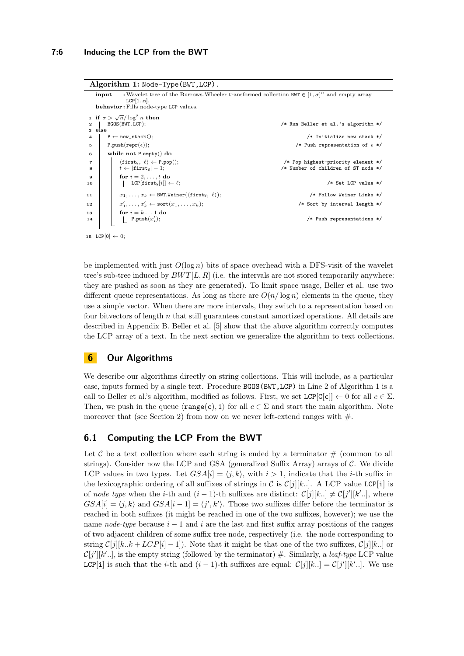<span id="page-5-4"></span><span id="page-5-2"></span><span id="page-5-1"></span>

| Algorithm 1: Node-Type (BWT, LCP).                                                                                                                |                                                                                                      |  |  |  |
|---------------------------------------------------------------------------------------------------------------------------------------------------|------------------------------------------------------------------------------------------------------|--|--|--|
| input<br>$LCP[1n]$ .<br>behavior: Fills node-type LCP values.                                                                                     | : Wavelet tree of the Burrows-Wheeler transformed collection BWT $\in [1, \sigma]^n$ and empty array |  |  |  |
| 1 if $\sigma > \sqrt{n}/\log^2 n$ then<br>BGOS(BWT, LCP);<br>3 else                                                                               | /* Run Beller et al.'s algorithm */                                                                  |  |  |  |
| $P \leftarrow new\_stack()$ ;                                                                                                                     | /* Initialize new stack */                                                                           |  |  |  |
| P.push(repr( $\epsilon$ ));<br>5                                                                                                                  | /* Push representation of $\epsilon$ */                                                              |  |  |  |
| while not $P.\text{empty}()$ do<br>6                                                                                                              |                                                                                                      |  |  |  |
| $\langle$ first <sub>w</sub> , $\ell \rangle \leftarrow P.pop();$<br>$\overline{\phantom{a}}$<br>$t \leftarrow  $ first <sub>w</sub> $ -1$ ;<br>8 | /* Pop highest-priority element */<br>/* Number of children of ST node */                            |  |  |  |
| for $i = 2, \ldots, t$ do<br>9<br>  LCP[first <sub>W</sub> [i]] $\leftarrow \ell$ ;<br>10                                                         | $/*$ Set LCP value $*/$                                                                              |  |  |  |
| $x_1, \ldots, x_k \leftarrow$ BWT.Weiner( $\langle$ first <sub>W</sub> , $\ell$ );<br>11                                                          | /* Follow Weiner Links */                                                                            |  |  |  |
| $x'_1, \ldots, x'_k \leftarrow \text{sort}(x_1, \ldots, x_k);$<br>12                                                                              | /* Sort by interval length */                                                                        |  |  |  |
| for $i = k \dots 1$ do<br>13<br>  P.push $(x_i')$ ;<br>14                                                                                         | $/*$ Push representations $*/$                                                                       |  |  |  |
| 15 LCP[0] $\leftarrow$ 0;                                                                                                                         |                                                                                                      |  |  |  |

<span id="page-5-7"></span><span id="page-5-6"></span><span id="page-5-5"></span><span id="page-5-3"></span>be implemented with just  $O(\log n)$  bits of space overhead with a DFS-visit of the wavelet tree's sub-tree induced by  $BWT[L, R]$  (i.e. the intervals are not stored temporarily anywhere: they are pushed as soon as they are generated). To limit space usage, Beller et al. use two different queue representations. As long as there are  $O(n/\log n)$  elements in the queue, they use a simple vector. When there are more intervals, they switch to a representation based on four bitvectors of length *n* that still guarantees constant amortized operations. All details are described in Appendix [B.](#page-14-0) Beller et al. [\[5\]](#page-12-9) show that the above algorithm correctly computes the LCP array of a text. In the next section we generalize the algorithm to text collections.

## **6 Our Algorithms**

We describe our algorithms directly on string collections. This will include, as a particular case, inputs formed by a single text. Procedure BGOS(BWT,LCP) in Line [2](#page-5-1) of Algorithm [1](#page-5-2) is a call to Beller et al.'s algorithm, modified as follows. First, we set  $LCP[C|c]] \leftarrow 0$  for all  $c \in \Sigma$ . Then, we push in the queue  $\langle \text{range}(c), 1 \rangle$  for all  $c \in \Sigma$  and start the main algorithm. Note moreover that (see Section [2\)](#page-1-0) from now on we never left-extend ranges with  $\#$ .

# <span id="page-5-0"></span>**6.1 Computing the LCP From the BWT**

Let C be a text collection where each string is ended by a terminator  $\#$  (common to all strings). Consider now the LCP and GSA (generalized Suffix Array) arrays of  $C$ . We divide LCP values in two types. Let  $GSA[i] = \langle i, k \rangle$ , with  $i > 1$ , indicate that the *i*-th suffix in the lexicographic ordering of all suffixes of strings in C is  $C[j][k..]$ . A LCP value LCP[i] is of *node type* when the *i*-th and  $(i-1)$ -th suffixes are distinct:  $\mathcal{C}[j][k] \neq \mathcal{C}[j'][k']$ ...], where  $GSA[i] = \langle j, k \rangle$  and  $GSA[i-1] = \langle j', k' \rangle$ . Those two suffixes differ before the terminator is reached in both suffixes (it might be reached in one of the two suffixes, however); we use the name *node-type* because *i* − 1 and *i* are the last and first suffix array positions of the ranges of two adjacent children of some suffix tree node, respectively (i.e. the node corresponding to string  $\mathcal{C}[j][k..k + LCP[i] - 1]$ . Note that it might be that one of the two suffixes,  $\mathcal{C}[j][k..]$  or  $\mathcal{C}[j'][k'..]$ , is the empty string (followed by the terminator)  $\#$ . Similarly, a *leaf-type* LCP value LCP[i] is such that the *i*-th and  $(i-1)$ -th suffixes are equal:  $C[j][k..] = C[j'][k'..]$ . We use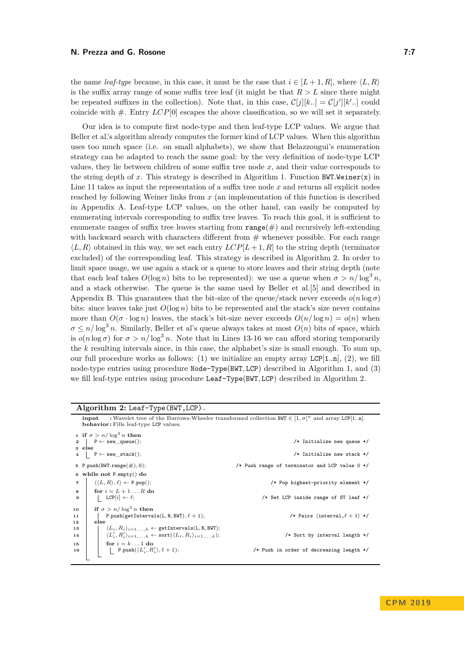the name *leaf-type* because, in this case, it must be the case that  $i \in [L + 1, R]$ , where  $\langle L, R \rangle$ is the suffix array range of some suffix tree leaf (it might be that  $R > L$  since there might be repeated suffixes in the collection). Note that, in this case,  $\mathcal{C}[j][k..] = \mathcal{C}[j'][k'..]$  could coincide with  $\#$ . Entry  $LCP[0]$  escapes the above classification, so we will set it separately.

Our idea is to compute first node-type and then leaf-type LCP values. We argue that Beller et al.'s algorithm already computes the former kind of LCP values. When this algorithm uses too much space (i.e. on small alphabets), we show that Belazzougui's enumeration strategy can be adapted to reach the same goal: by the very definition of node-type LCP values, they lie between children of some suffix tree node  $x$ , and their value corresponds to the string depth of *x*. This strategy is described in Algorithm [1.](#page-5-2) Function BWT*.*Weiner(x) in Line [11](#page-5-3) takes as input the representation of a suffix tree node *x* and returns all explicit nodes reached by following Weiner links from *x* (an implementation of this function is described in Appendix [A.](#page-13-2) Leaf-type LCP values, on the other hand, can easily be computed by enumerating intervals corresponding to suffix tree leaves. To reach this goal, it is sufficient to enumerate ranges of suffix tree leaves starting from  $\text{range}(\#)$  and recursively left-extending with backward search with characters different from  $#$  whenever possible. For each range  $\langle L, R \rangle$  obtained in this way, we set each entry  $LCP[L+1, R]$  to the string depth (terminator excluded) of the corresponding leaf. This strategy is described in Algorithm [2.](#page-6-0) In order to limit space usage, we use again a stack or a queue to store leaves and their string depth (note that each leaf takes  $O(\log n)$  bits to be represented): we use a queue when  $\sigma > n/\log^3 n$ . and a stack otherwise. The queue is the same used by Beller et al.[\[5\]](#page-12-9) and described in Appendix [B.](#page-14-0) This guarantees that the bit-size of the queue/stack never exceeds  $o(n \log \sigma)$ bits: since leaves take just  $O(\log n)$  bits to be represented and the stack's size never contains more than  $O(\sigma \cdot \log n)$  leaves, the stack's bit-size never exceeds  $O(n/\log n) = o(n)$  when  $\sigma \leq n/\log^3 n$ . Similarly, Beller et al's queue always takes at most  $O(n)$  bits of space, which is  $o(n \log \sigma)$  for  $\sigma > n/\log^3 n$ . Note that in Lines [13](#page-6-1)[-16](#page-6-2) we can afford storing temporarily the *k* resulting intervals since, in this case, the alphabet's size is small enough. To sum up, our full procedure works as follows: (1) we initialize an empty array LCP[1*..*n], (2), we fill node-type entries using procedure Node-Type(BWT*,* LCP) described in Algorithm [1,](#page-5-2) and (3) we fill leaf-type entries using procedure Leaf-Type(BWT*,* LCP) described in Algorithm [2.](#page-6-0)

**Algorithm 2:** Leaf-Type(BWT,LCP).

<span id="page-6-4"></span><span id="page-6-3"></span><span id="page-6-2"></span><span id="page-6-1"></span><span id="page-6-0"></span>

|                   | : Wavelet tree of the Burrows-Wheeler transformed collection BWT $\in [1, \sigma]^n$ and array LCP[1.n].<br>input<br><b>behavior</b> : Fills leaf-type LCP values.                      |                                                          |  |  |  |  |  |  |
|-------------------|-----------------------------------------------------------------------------------------------------------------------------------------------------------------------------------------|----------------------------------------------------------|--|--|--|--|--|--|
|                   | 1 if $\sigma > n/\log^3 n$ then<br>2 P $\leftarrow$ new queue();<br>3 else<br>4 $P \leftarrow new\_stack();$                                                                            | /* Initialize new queue */<br>/* Initialize new stack */ |  |  |  |  |  |  |
|                   | 5 P.push(BWT.range $(\#)$ , 0);                                                                                                                                                         | /* Push range of terminator and LCP value 0 */           |  |  |  |  |  |  |
|                   | 6 while not P.empty() do                                                                                                                                                                |                                                          |  |  |  |  |  |  |
| $\overline{7}$    | $\langle \langle L, R \rangle, \ell \rangle \leftarrow P.pop();$                                                                                                                        | /* Pop highest-priority element */                       |  |  |  |  |  |  |
| 8<br>$\mathbf{9}$ | for $i = L + 1R$ do<br>$LCP[i] \leftarrow \ell;$                                                                                                                                        | /* Set LCP inside range of ST leaf */                    |  |  |  |  |  |  |
| 10<br>11<br>12    | if $\sigma > n/\log^3 n$ then<br>P.push(getIntervals(L, R, BWT), $\ell + 1$ );<br>else                                                                                                  | /* Pairs $\langle$ interval, $\ell + 1 \rangle$ */       |  |  |  |  |  |  |
| 13<br>14          | $\langle L_i, R_i \rangle_{i=1,,k} \leftarrow$ getIntervals(L, R, BWT);<br>$\langle L'_i, R'_i \rangle_{i=1,\ldots,k} \leftarrow \text{sort}(\langle L_i, R_i \rangle_{i=1,\ldots,k});$ | /* Sort by interval length */                            |  |  |  |  |  |  |
| 15<br>16          | for $i = k \dots 1$ do<br>P.push( $\langle L'_i, R'_i \rangle, \ell+1$ );                                                                                                               | /* Push in order of decreasing length */                 |  |  |  |  |  |  |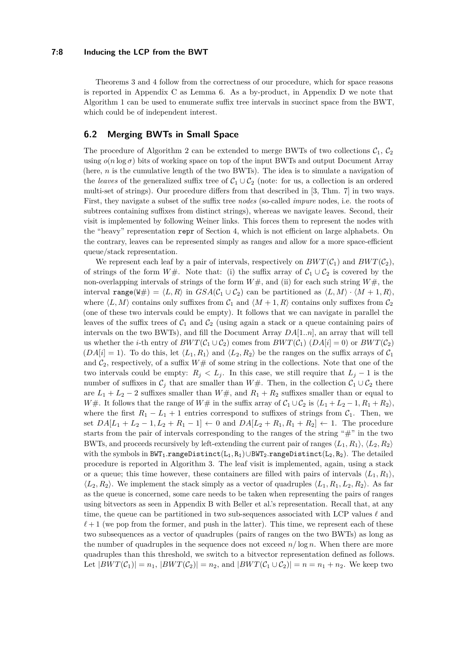#### **7:8 Inducing the LCP from the BWT**

Theorems [3](#page-2-3) and [4](#page-3-2) follow from the correctness of our procedure, which for space reasons is reported in Appendix [C](#page-14-1) as Lemma [6.](#page-14-2) As a by-product, in Appendix [D](#page-16-0) we note that Algorithm [1](#page-5-2) can be used to enumerate suffix tree intervals in succinct space from the BWT, which could be of independent interest.

#### <span id="page-7-0"></span>**6.2 Merging BWTs in Small Space**

The procedure of Algorithm [2](#page-6-0) can be extended to merge BWTs of two collections  $C_1$ ,  $C_2$ using  $o(n \log \sigma)$  bits of working space on top of the input BWTs and output Document Array (here, *n* is the cumulative length of the two BWTs). The idea is to simulate a navigation of the *leaves* of the generalized suffix tree of  $C_1 \cup C_2$  (note: for us, a collection is an ordered multi-set of strings). Our procedure differs from that described in [\[3,](#page-12-16) Thm. 7] in two ways. First, they navigate a subset of the suffix tree *nodes* (so-called *impure* nodes, i.e. the roots of subtrees containing suffixes from distinct strings), whereas we navigate leaves. Second, their visit is implemented by following Weiner links. This forces them to represent the nodes with the "heavy" representation repr of Section [4,](#page-3-0) which is not efficient on large alphabets. On the contrary, leaves can be represented simply as ranges and allow for a more space-efficient queue/stack representation.

We represent each leaf by a pair of intervals, respectively on  $BWT(\mathcal{C}_1)$  and  $BWT(\mathcal{C}_2)$ , of strings of the form *W*#. Note that: (i) the suffix array of  $C_1 \cup C_2$  is covered by the non-overlapping intervals of strings of the form *W*#, and (ii) for each such string *W*#, the interval range(W#) =  $\langle L, R \rangle$  in  $GSA(\mathcal{C}_1 \cup \mathcal{C}_2)$  can be partitioned as  $\langle L, M \rangle \cdot \langle M + 1, R \rangle$ , where  $\langle L, M \rangle$  contains only suffixes from  $\mathcal{C}_1$  and  $\langle M+1, R \rangle$  contains only suffixes from  $\mathcal{C}_2$ (one of these two intervals could be empty). It follows that we can navigate in parallel the leaves of the suffix trees of  $C_1$  and  $C_2$  (using again a stack or a queue containing pairs of intervals on the two BWTs), and fill the Document Array *DA*[1*..n*], an array that will tell us whether the *i*-th entry of  $BWT(\mathcal{C}_1 \cup \mathcal{C}_2)$  comes from  $BWT(\mathcal{C}_1 \cup A[i] = 0)$  or  $BWT(\mathcal{C}_2)$  $(DA[i] = 1)$ . To do this, let  $\langle L_1, R_1 \rangle$  and  $\langle L_2, R_2 \rangle$  be the ranges on the suffix arrays of  $C_1$ and  $C_2$ , respectively, of a suffix  $W#$  of some string in the collections. Note that one of the two intervals could be empty:  $R_j < L_j$ . In this case, we still require that  $L_j - 1$  is the number of suffixes in  $\mathcal{C}_j$  that are smaller than *W*#. Then, in the collection  $\mathcal{C}_1 \cup \mathcal{C}_2$  there are  $L_1 + L_2 - 2$  suffixes smaller than  $W#$ , and  $R_1 + R_2$  suffixes smaller than or equal to *W*#. It follows that the range of *W*# in the suffix array of  $C_1 \cup C_2$  is  $\langle L_1 + L_2 - 1, R_1 + R_2 \rangle$ , where the first  $R_1 - L_1 + 1$  entries correspond to suffixes of strings from  $C_1$ . Then, we set  $DA[L_1 + L_2 - 1, L_2 + R_1 - 1] \leftarrow 0$  and  $DA[L_2 + R_1, R_1 + R_2] \leftarrow 1$ . The procedure starts from the pair of intervals corresponding to the ranges of the string " $\#$ " in the two BWTs, and proceeds recursively by left-extending the current pair of ranges  $\langle L_1, R_1 \rangle$ ,  $\langle L_2, R_2 \rangle$ with the symbols in BWT<sub>1</sub>.rangeDistinct(L<sub>1</sub>, R<sub>1</sub>)∪BWT<sub>2</sub>.rangeDistinct(L<sub>2</sub>, R<sub>2</sub>). The detailed procedure is reported in Algorithm [3.](#page-9-0) The leaf visit is implemented, again, using a stack or a queue; this time however, these containers are filled with pairs of intervals  $\langle L_1, R_1 \rangle$ ,  $\langle L_2, R_2 \rangle$ . We implement the stack simply as a vector of quadruples  $\langle L_1, R_1, L_2, R_2 \rangle$ . As far as the queue is concerned, some care needs to be taken when representing the pairs of ranges using bitvectors as seen in Appendix [B](#page-14-0) with Beller et al.'s representation. Recall that, at any time, the queue can be partitioned in two sub-sequences associated with LCP values  $\ell$  and  $\ell+1$  (we pop from the former, and push in the latter). This time, we represent each of these two subsequences as a vector of quadruples (pairs of ranges on the two BWTs) as long as the number of quadruples in the sequence does not exceed  $n/\log n$ . When there are more quadruples than this threshold, we switch to a bitvector representation defined as follows. Let  $|BWT(\mathcal{C}_1)| = n_1$ ,  $|BWT(\mathcal{C}_2)| = n_2$ , and  $|BWT(\mathcal{C}_1 \cup \mathcal{C}_2)| = n = n_1 + n_2$ . We keep two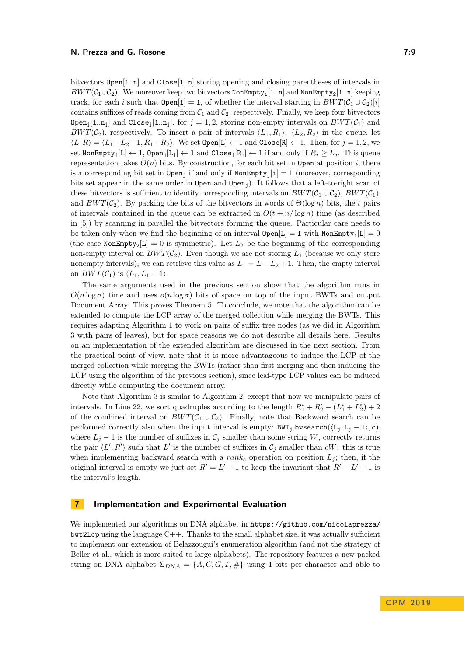bitvectors Open[1*..*n] and Close[1*..*n] storing opening and closing parentheses of intervals in *BWT*( $C_1 \cup C_2$ ). We moreover keep two bitvectors NonEmpty<sub>1</sub>[1*.*.n] and NonEmpty<sub>2</sub>[1*.n*] keeping track, for each *i* such that  $Open[i] = 1$ , of whether the interval starting in  $BWT(\mathcal{C}_1 \cup \mathcal{C}_2)[i]$ contains suffixes of reads coming from  $C_1$  and  $C_2$ , respectively. Finally, we keep four bitvectors  $Open_j[1..n_j]$  and  $Close_j[1..n_j]$ , for  $j = 1, 2$ , storing non-empty intervals on  $BWT(\mathcal{C}_1)$  and *BWT*( $C_2$ ), respectively. To insert a pair of intervals  $\langle L_1, R_1 \rangle$ ,  $\langle L_2, R_2 \rangle$  in the queue, let  $\langle L, R \rangle = \langle L_1 + L_2 - 1, R_1 + R_2 \rangle$ . We set  $\text{Open}[L] \leftarrow 1$  and  $\text{Close}[R] \leftarrow 1$ . Then, for  $j = 1, 2$ , we set NonEmpty<sub>j</sub>[L]  $\leftarrow$  1, Open<sub>j</sub>[L<sub>j</sub>]  $\leftarrow$  1 and Close<sub>j</sub>[R<sub>j</sub>]  $\leftarrow$  1 if and only if  $R_j \ge L_j$ . This queue representation takes  $O(n)$  bits. By construction, for each bit set in Open at position *i*, there is a corresponding bit set in Open<sub>i</sub> if and only if  $NonEmpty_i[i] = 1$  (moreover, corresponding bits set appear in the same order in Open and Open<sub>j</sub>). It follows that a left-to-right scan of these bitvectors is sufficient to identify corresponding intervals on  $BWT(\mathcal{C}_1 \cup \mathcal{C}_2)$ ,  $BWT(\mathcal{C}_1)$ , and  $BWT(\mathcal{C}_2)$ . By packing the bits of the bitvectors in words of  $\Theta(\log n)$  bits, the *t* pairs of intervals contained in the queue can be extracted in  $O(t + n/\log n)$  time (as described in [\[5\]](#page-12-9)) by scanning in parallel the bitvectors forming the queue. Particular care needs to be taken only when we find the beginning of an interval  $Open[L] = 1$  with NonEmpty<sub>1</sub>[L] = 0 (the case NonEmpty<sub>2</sub>[L] = 0 is symmetric). Let  $L_2$  be the beginning of the corresponding non-empty interval on  $BWT(\mathcal{C}_2)$ . Even though we are not storing  $L_1$  (because we only store nonempty intervals), we can retrieve this value as  $L_1 = L - L_2 + 1$ . Then, the empty interval on  $BWT(\mathcal{C}_1)$  is  $\langle L_1, L_1 - 1 \rangle$ .

The same arguments used in the previous section show that the algorithm runs in  $O(n \log \sigma)$  time and uses  $o(n \log \sigma)$  bits of space on top of the input BWTs and output Document Array. This proves Theorem [5.](#page-3-1) To conclude, we note that the algorithm can be extended to compute the LCP array of the merged collection while merging the BWTs. This requires adapting Algorithm [1](#page-5-2) to work on pairs of suffix tree nodes (as we did in Algorithm [3](#page-9-0) with pairs of leaves), but for space reasons we do not describe all details here. Results on an implementation of the extended algorithm are discussed in the next section. From the practical point of view, note that it is more advantageous to induce the LCP of the merged collection while merging the BWTs (rather than first merging and then inducing the LCP using the algorithm of the previous section), since leaf-type LCP values can be induced directly while computing the document array.

Note that Algorithm [3](#page-9-0) is similar to Algorithm [2,](#page-6-0) except that now we manipulate pairs of intervals. In Line [22,](#page-9-1) we sort quadruples according to the length  $R_1^i + R_2^i - (L_1^i + L_2^i) + 2$ of the combined interval on  $BWT(\mathcal{C}_1 \cup \mathcal{C}_2)$ . Finally, note that Backward search can be performed correctly also when the input interval is empty:  $BWT_i.bwsearch(\langle L_i, L_j - 1 \rangle, c)$ , where  $L_j - 1$  is the number of suffixes in  $\mathcal{C}_j$  smaller than some string *W*, correctly returns the pair  $\langle L', R' \rangle$  such that  $L'$  is the number of suffixes in  $\mathcal{C}_j$  smaller than  $cW$ : this is true when implementing backward search with a  $rank_c$  operation on position  $L_i$ ; then, if the original interval is empty we just set  $R' = L' - 1$  to keep the invariant that  $R' - L' + 1$  is the interval's length.

## <span id="page-8-0"></span>**7 Implementation and Experimental Evaluation**

We implemented our algorithms on DNA alphabet in [https://github.com/nicolaprezza/](https://github.com/nicolaprezza/bwt2lcp)  $bwt21cp$  using the language  $C++$ . Thanks to the small alphabet size, it was actually sufficient to implement our extension of Belazzougui's enumeration algorithm (and not the strategy of Beller et al., which is more suited to large alphabets). The repository features a new packed string on DNA alphabet  $\Sigma_{DNA} = \{A, C, G, T, \# \}$  using 4 bits per character and able to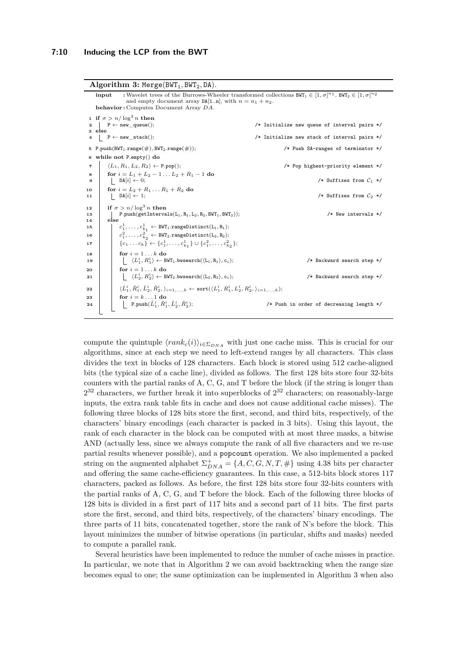<span id="page-9-0"></span>

|                                  | Algorithm 3: Merge $(BWT_1, BWT_2, DA)$ .                                                                                                                                                                                                                                                                                                                                                                                     |                                                                                                                                    |  |  |  |  |  |
|----------------------------------|-------------------------------------------------------------------------------------------------------------------------------------------------------------------------------------------------------------------------------------------------------------------------------------------------------------------------------------------------------------------------------------------------------------------------------|------------------------------------------------------------------------------------------------------------------------------------|--|--|--|--|--|
|                                  | : Wavelet trees of the Burrows-Wheeler transformed collections $BWT_1 \in [1, \sigma]^{n_1}$ , $BWT_2 \in [1, \sigma]^{n_2}$<br>input<br>and empty document array $DA[1n]$ , with $n = n_1 + n_2$ .<br><b>behavior:</b> Computes Document Array DA.                                                                                                                                                                           |                                                                                                                                    |  |  |  |  |  |
| 3 else<br>$\overline{4}$         | 1 if $\sigma > n / \log^3 n$ then<br>$\vert P \leftarrow new queue();$<br>$\vert P \leftarrow new\_stack();$<br>5 P.push(BWT <sub>1</sub> .range( $\#$ ), BWT <sub>2</sub> .range( $\#$ ));                                                                                                                                                                                                                                   | /* Initialize new queue of interval pairs */<br>/* Initialize new stack of interval pairs */<br>/* Push SA-ranges of terminator */ |  |  |  |  |  |
| $\overline{\mathbf{r}}$          | 6 while not P.empty $()$ do<br>$\langle L_1, R_1, L_2, R_2 \rangle \leftarrow$ P.pop();                                                                                                                                                                                                                                                                                                                                       | /* Pop highest-priority element */                                                                                                 |  |  |  |  |  |
| 8<br>9                           | for $i = L_1 + L_2 - 1$ $L_2 + R_1 - 1$ do<br>$DA[i] \leftarrow 0;$                                                                                                                                                                                                                                                                                                                                                           | /* Suffixes from $C_1$ */                                                                                                          |  |  |  |  |  |
| 10<br>11                         | for $i = L_2 + R_1 \dots R_1 + R_2$ do<br>$ DA[i] \leftarrow 1;$                                                                                                                                                                                                                                                                                                                                                              | /* Suffixes from $C_2$ */                                                                                                          |  |  |  |  |  |
| 12<br>13<br>14<br>15<br>16<br>17 | if $\sigma > n/\log^3 n$ then<br>$\mathtt{P.push}(\mathtt{getIntervals}(L_1, R_1, L_2, R_2, BWT_1, BWT_2));$<br>else<br>$c_1^1, \ldots, c_{k_1}^1 \leftarrow$ BWT <sub>1</sub> .rangeDistinct(L <sub>1</sub> , R <sub>1</sub> );<br>$c_1^2, \ldots, c_{k_2}^2 \leftarrow \texttt{BWT}_2.\texttt{rangeDistinct}(L_2, R_2);$<br>$\{c_1 \ldots c_k\} \leftarrow \{c_1^1, \ldots, c_{k_1}^1\} \cup \{c_1^2, \ldots, c_{k_2}^2\};$ | $/*$ New intervals $*/$                                                                                                            |  |  |  |  |  |
| 18<br>19<br>20<br>21             | for $i = 1k$ do<br>$\langle L_1^i, R_1^i \rangle \leftarrow$ BWT <sub>1</sub> .bwsearch( $\langle L_1, R_1 \rangle, c_i$ );<br>for $i = 1k$ do<br>$ \quad \langle L_2^i, R_2^i \rangle \leftarrow$ BWT <sub>2</sub> .bwsearch( $\langle \texttt{L}_2, \texttt{R}_2 \rangle, \texttt{c}_i$ );                                                                                                                                  | /* Backward search step */<br>/* Backward search step */                                                                           |  |  |  |  |  |
| 22<br>23<br>24                   | $\langle \hat{L}_1^i, \hat{R}_1^i, \hat{L}_2^i, \hat{R}_2^i, \rangle_{i=1,,k} \leftarrow \text{sort}(\langle L_1^i, R_1^i, L_2^i, R_2^i, \rangle_{i=1,,k});$<br>for $i = k \dots 1$ do<br>P.push $(\hat{L}_1^i, \hat{R}_1^i, \hat{L}_2^i, \hat{R}_2^i);$                                                                                                                                                                      | /* Push in order of decreasing length */                                                                                           |  |  |  |  |  |

<span id="page-9-1"></span>compute the quintuple  $\langle rank_c(i)\rangle_{i\in\Sigma_{DNA}}$  with just one cache miss. This is crucial for our algorithms, since at each step we need to left-extend ranges by all characters. This class divides the text in blocks of 128 characters. Each block is stored using 512 cache-aligned bits (the typical size of a cache line), divided as follows. The first 128 bits store four 32-bits counters with the partial ranks of A, C, G, and T before the block (if the string is longer than  $2^{32}$  characters, we further break it into superblocks of  $2^{32}$  characters; on reasonably-large inputs, the extra rank table fits in cache and does not cause additional cache misses). The following three blocks of 128 bits store the first, second, and third bits, respectively, of the characters' binary encodings (each character is packed in 3 bits). Using this layout, the rank of each character in the block can be computed with at most three masks, a bitwise AND (actually less, since we always compute the rank of all five characters and we re-use partial results whenever possible), and a popcount operation. We also implemented a packed string on the augmented alphabet  $\Sigma_{DNA}^{+} = \{A, C, G, N, T, \# \}$  using 4.38 bits per character and offering the same cache-efficiency guarantees. In this case, a 512-bits block stores 117 characters, packed as follows. As before, the first 128 bits store four 32-bits counters with the partial ranks of A, C, G, and T before the block. Each of the following three blocks of 128 bits is divided in a first part of 117 bits and a second part of 11 bits. The first parts store the first, second, and third bits, respectively, of the characters' binary encodings. The three parts of 11 bits, concatenated together, store the rank of N's before the block. This layout minimizes the number of bitwise operations (in particular, shifts and masks) needed to compute a parallel rank.

Several heuristics have been implemented to reduce the number of cache misses in practice. In particular, we note that in Algorithm [2](#page-6-0) we can avoid backtracking when the range size becomes equal to one; the same optimization can be implemented in Algorithm [3](#page-9-0) when also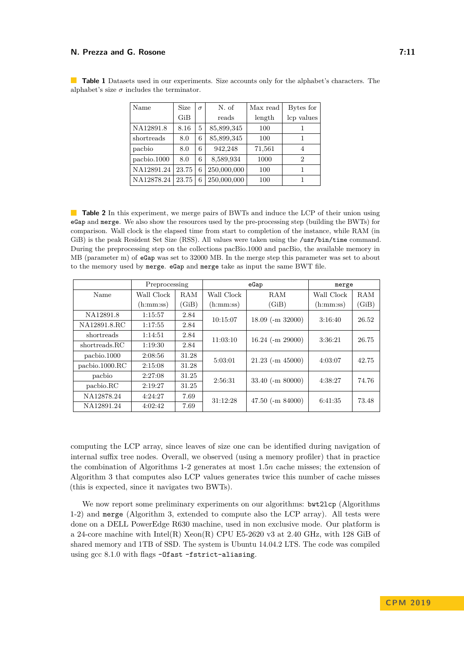| Name        | Size  | $\sigma$ | N. of       | Max read | Bytes for      |  |
|-------------|-------|----------|-------------|----------|----------------|--|
|             | GiB   |          | reads       | length   | lcp values     |  |
| NA12891.8   | 8.16  | 5        | 85,899,345  | 100      |                |  |
| shortreads  | 8.0   | 6        | 85,899,345  | 100      |                |  |
| pacbio      | 8.0   | 6        | 942,248     | 71,561   | 4              |  |
| pachio.1000 | 8.0   | 6        | 8,589,934   | 1000     | $\overline{2}$ |  |
| NA12891.24  | 23.75 | 6        | 250,000,000 | 100      |                |  |
| NA12878.24  | 23.75 | 6        | 250,000,000 | 100      |                |  |

<span id="page-10-1"></span>**Table 1** Datasets used in our experiments. Size accounts only for the alphabet's characters. The alphabet's size  $\sigma$  includes the terminator.

<span id="page-10-0"></span>**Table 2** In this experiment, we merge pairs of BWTs and induce the LCP of their union using eGap and merge. We also show the resources used by the pre-processing step (building the BWTs) for comparison. Wall clock is the elapsed time from start to completion of the instance, while RAM (in GiB) is the peak Resident Set Size (RSS). All values were taken using the /usr/bin/time command. During the preprocessing step on the collections pacBio.1000 and pacBio, the available memory in MB (parameter m) of eGap was set to 32000 MB. In the merge step this parameter was set to about to the memory used by merge. eGap and merge take as input the same BWT file.

|                         | Preprocessing |       | eGap                           |                       | merge      |       |
|-------------------------|---------------|-------|--------------------------------|-----------------------|------------|-------|
| Name                    | Wall Clock    | RAM   | Wall Clock                     | RAM                   | Wall Clock | RAM   |
|                         | (h:mm:ss)     | (GiB) | (h:mm:ss)                      | (GiB)                 | (h:mm:ss)  | (GiB) |
| NA12891.8               | 1:15:57       | 2.84  | $18.09$ (-m 32000)<br>10:15:07 |                       | 3:16:40    | 26.52 |
| NA12891.8.RC            | 1:17:55       | 2.84  |                                |                       |            |       |
| shortreads              | 1:14:51       | 2.84  | 11:03:10                       | $16.24$ (-m 29000)    | 3:36:21    | 26.75 |
| shortreads.RC           | 1:19:30       | 2.84  |                                |                       |            |       |
| pachio.1000             | 2:08:56       | 31.28 | 5:03:01                        | $21.23$ (-m $45000$ ) | 4:03:07    | 42.75 |
| $\text{pacbio.1000.RC}$ | 2:15:08       | 31.28 |                                |                       |            |       |
| pachio                  | 2:27:08       | 31.25 | 2:56:31                        | $33.40$ (-m $80000$ ) | 4:38:27    | 74.76 |
| pacbio.RC               | 2:19:27       | 31.25 |                                |                       |            |       |
| NA12878.24              | 4:24:27       | 7.69  | 31:12:28                       | $47.50$ (-m $84000$ ) | 6:41:35    | 73.48 |
| NA12891.24              | 4:02:42       | 7.69  |                                |                       |            |       |

computing the LCP array, since leaves of size one can be identified during navigation of internal suffix tree nodes. Overall, we observed (using a memory profiler) that in practice the combination of Algorithms [1-](#page-5-2)[2](#page-6-0) generates at most 1*.*5*n* cache misses; the extension of Algorithm [3](#page-9-0) that computes also LCP values generates twice this number of cache misses (this is expected, since it navigates two BWTs).

We now report some preliminary experiments on our algorithms: bwt2lcp (Algorithms) [1-](#page-5-2)[2\)](#page-6-0) and merge (Algorithm [3,](#page-9-0) extended to compute also the LCP array). All tests were done on a DELL PowerEdge R630 machine, used in non exclusive mode. Our platform is a 24-core machine with Intel(R) Xeon(R) CPU E5-2620 v3 at 2*.*40 GHz, with 128 GiB of shared memory and 1TB of SSD. The system is Ubuntu 14.04.2 LTS. The code was compiled using gcc 8.1.0 with flags -Ofast -fstrict-aliasing.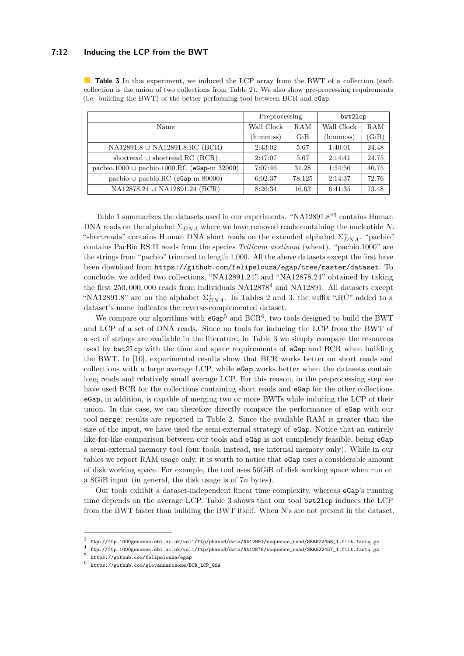#### **7:12 Inducing the LCP from the BWT**

|                                                  | Preprocessing |        | bwt21cp    |       |
|--------------------------------------------------|---------------|--------|------------|-------|
| Name                                             | Wall Clock    | RAM    | Wall Clock | RAM   |
|                                                  | (h:mm:ss)     | GiB    | (h:mm:ss)  | (GiB) |
| NA12891.8 ∪ NA12891.8.RC (BCR)                   | 2:43:02       | 5.67   | 1:40:01    | 24.48 |
| shortread $\cup$ shortread.RC (BCR)              | 2:47:07       | 5.67   | 2:14:41    | 24.75 |
| pacbio.1000 $\cup$ pacbio.1000.RC (eGap-m 32000) | 7:07:46       | 31.28  | 1:54:56    | 40.75 |
| pachio $\cup$ pachio.RC (eGap-m 80000)           | 6:02:37       | 78.125 | 2:14:37    | 72.76 |
| NA12878.24 ∪ NA12891.24 (BCR)                    | 8:26:34       | 16.63  | 6:41:35    | 73.48 |

<span id="page-11-2"></span>**Table 3** In this experiment, we induced the LCP array from the BWT of a collection (each collection is the union of two collections from Table [2\)](#page-10-0). We also show pre-processing requirements (i.e. building the BWT) of the better performing tool between BCR and eGap.

Table [1](#page-10-1) summarizes the datasets used in our experiments. "NA12891.8"[3](#page-11-0) contains Human DNA reads on the alphabet  $\Sigma_{DNA}$  where we have removed reads containing the nucleotide *N*. "shortreads" contains Human DNA short reads on the extended alphabet  $\Sigma_{DNA}^{+}$ . "pacbio" contains PacBio RS II reads from the species *Triticum aestivum* (wheat). "pacbio.1000" are the strings from "pacbio" trimmed to length 1,000. All the above datasets except the first have been download from <https://github.com/felipelouza/egap/tree/master/dataset>. To conclude, we added two collections, "NA12891.24" and "NA12878.24" obtained by taking the first 250*,* 000*,* 000 reads from individuals NA12878[4](#page-11-1) and NA12891. All datasets except "NA12891.8" are on the alphabet  $\Sigma_{DNA}^+$ . In Tables [2](#page-10-0) and [3,](#page-11-2) the suffix ".RC" added to a dataset's name indicates the reverse-complemented dataset.

We compare our algorithms with  $eGap^5$  $eGap^5$  and  $BCR^6$  $BCR^6$ , two tools designed to build the BWT and LCP of a set of DNA reads. Since no tools for inducing the LCP from the BWT of a set of strings are available in the literature, in Table [3](#page-11-2) we simply compare the resources used by bwt2lcp with the time and space requirements of eGap and BCR when building the BWT. In [\[10\]](#page-12-8), experimental results show that BCR works better on short reads and collections with a large average LCP, while eGap works better when the datasets contain long reads and relatively small average LCP. For this reason, in the preprocessing step we have used BCR for the collections containing short reads and **eGap** for the other collections. eGap, in addition, is capable of merging two or more BWTs while inducing the LCP of their union. In this case, we can therefore directly compare the performance of eGap with our tool merge; results are reported in Table [2.](#page-10-0) Since the available RAM is greater than the size of the input, we have used the semi-external strategy of eGap. Notice that an entirely like-for-like comparison between our tools and eGap is not completely feasible, being eGap a semi-external memory tool (our tools, instead, use internal memory only). While in our tables we report RAM usage only, it is worth to notice that eGap uses a considerable amount of disk working space. For example, the tool uses 56GiB of disk working space when run on a 8GiB input (in general, the disk usage is of 7*n* bytes).

Our tools exhibit a dataset-independent linear time complexity, whereas eGap's running time depends on the average LCP. Table [3](#page-11-2) shows that our tool bwt2lcp induces the LCP from the BWT faster than building the BWT itself. When N's are not present in the dataset,

<span id="page-11-0"></span> $^3$  [ftp://ftp.1000genomes.ebi.ac.uk/vol1/ftp/phase3/data/NA12891/sequence\\_read/SRR622458\\_1.filt.fastq.gz](ftp://ftp.1000genomes.ebi.ac.uk/vol1/ftp/phase3/data/NA12891/sequence_read/SRR622458_1.filt.fastq.gz)

<span id="page-11-1"></span><sup>4</sup> [ftp://ftp.1000genomes.ebi.ac.uk/vol1/ftp/phase3/data/NA12878/sequence\\_read/SRR622457\\_1.filt.fastq.gz](ftp://ftp.1000genomes.ebi.ac.uk/vol1/ftp/phase3/data/NA12878/sequence_read/SRR622457_1.filt.fastq.gz)

<span id="page-11-3"></span><sup>5</sup> <https://github.com/felipelouza/egap>

<span id="page-11-4"></span><sup>6</sup> [https://github.com/giovannarosone/BCR\\_LCP\\_GSA](https://github.com/giovannarosone/BCR_LCP_GSA)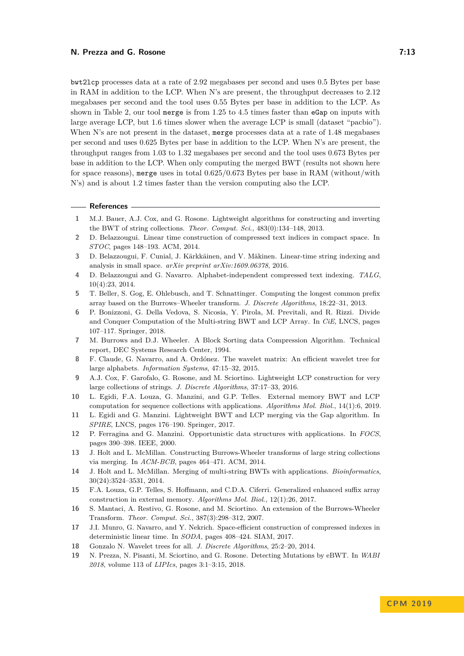bwt2lcp processes data at a rate of 2*.*92 megabases per second and uses 0*.*5 Bytes per base in RAM in addition to the LCP. When N's are present, the throughput decreases to 2*.*12 megabases per second and the tool uses 0*.*55 Bytes per base in addition to the LCP. As shown in Table [2,](#page-10-0) our tool merge is from 1*.*25 to 4*.*5 times faster than eGap on inputs with large average LCP, but 1*.*6 times slower when the average LCP is small (dataset "pacbio"). When N's are not present in the dataset, merge processes data at a rate of 1*.*48 megabases per second and uses 0*.*625 Bytes per base in addition to the LCP. When N's are present, the throughput ranges from 1*.*03 to 1*.*32 megabases per second and the tool uses 0*.*673 Bytes per base in addition to the LCP. When only computing the merged BWT (results not shown here for space reasons), merge uses in total 0*.*625/0*.*673 Bytes per base in RAM (without/with N's) and is about 1*.*2 times faster than the version computing also the LCP.

#### **References**

- <span id="page-12-2"></span>**1** M.J. Bauer, A.J. Cox, and G. Rosone. Lightweight algorithms for constructing and inverting the BWT of string collections. *Theor. Comput. Sci.*, 483(0):134–148, 2013.
- <span id="page-12-11"></span>**2** D. Belazzougui. Linear time construction of compressed text indices in compact space. In *STOC*, pages 148–193. ACM, 2014.
- <span id="page-12-16"></span>**3** D. Belazzougui, F. Cunial, J. Kärkkäinen, and V. Mäkinen. Linear-time string indexing and analysis in small space. *arXiv preprint arXiv:1609.06378*, 2016.
- <span id="page-12-18"></span>**4** D. Belazzougui and G. Navarro. Alphabet-independent compressed text indexing. *TALG*, 10(4):23, 2014.
- <span id="page-12-9"></span>**5** T. Beller, S. Gog, E. Ohlebusch, and T. Schnattinger. Computing the longest common prefix array based on the Burrows–Wheeler transform. *J. Discrete Algorithms*, 18:22–31, 2013.
- <span id="page-12-7"></span>**6** P. Bonizzoni, G. Della Vedova, S. Nicosia, Y. Pirola, M. Previtali, and R. Rizzi. Divide and Conquer Computation of the Multi-string BWT and LCP Array. In *CiE*, LNCS, pages 107–117. Springer, 2018.
- <span id="page-12-0"></span>**7** M. Burrows and D.J. Wheeler. A Block Sorting data Compression Algorithm. Technical report, DEC Systems Research Center, 1994.
- <span id="page-12-15"></span>**8** F. Claude, G. Navarro, and A. Ordónez. The wavelet matrix: An efficient wavelet tree for large alphabets. *Information Systems*, 47:15–32, 2015.
- <span id="page-12-3"></span>**9** A.J. Cox, F. Garofalo, G. Rosone, and M. Sciortino. Lightweight LCP construction for very large collections of strings. *J. Discrete Algorithms*, 37:17–33, 2016.
- <span id="page-12-8"></span>**10** L. Egidi, F.A. Louza, G. Manzini, and G.P. Telles. External memory BWT and LCP computation for sequence collections with applications. *Algorithms Mol. Biol.*, 14(1):6, 2019.
- <span id="page-12-17"></span>**11** L. Egidi and G. Manzini. Lightweight BWT and LCP merging via the Gap algorithm. In *SPIRE*, LNCS, pages 176–190. Springer, 2017.
- <span id="page-12-14"></span>**12** P. Ferragina and G. Manzini. Opportunistic data structures with applications. In *FOCS*, pages 390–398. IEEE, 2000.
- <span id="page-12-5"></span>**13** J. Holt and L. McMillan. Constructing Burrows-Wheeler transforms of large string collections via merging. In *ACM-BCB*, pages 464–471. ACM, 2014.
- <span id="page-12-6"></span>**14** J. Holt and L. McMillan. Merging of multi-string BWTs with applications. *Bioinformatics*, 30(24):3524–3531, 2014.
- <span id="page-12-12"></span>**15** F.A. Louza, G.P. Telles, S. Hoffmann, and C.D.A. Ciferri. Generalized enhanced suffix array construction in external memory. *Algorithms Mol. Biol.*, 12(1):26, 2017.
- <span id="page-12-1"></span>**16** S. Mantaci, A. Restivo, G. Rosone, and M. Sciortino. An extension of the Burrows-Wheeler Transform. *Theor. Comput. Sci.*, 387(3):298–312, 2007.
- <span id="page-12-10"></span>**17** J.I. Munro, G. Navarro, and Y. Nekrich. Space-efficient construction of compressed indexes in deterministic linear time. In *SODA*, pages 408–424. SIAM, 2017.
- <span id="page-12-13"></span>**18** Gonzalo N. Wavelet trees for all. *J. Discrete Algorithms*, 25:2–20, 2014.
- <span id="page-12-4"></span>**19** N. Prezza, N. Pisanti, M. Sciortino, and G. Rosone. Detecting Mutations by eBWT. In *WABI 2018*, volume 113 of *LIPIcs*, pages 3:1–3:15, 2018.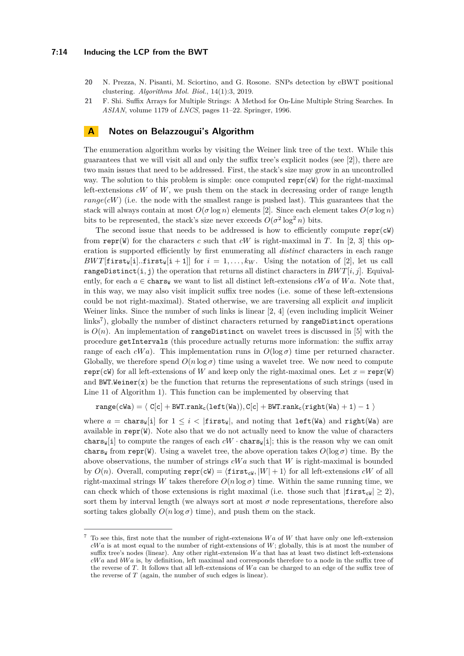#### **7:14 Inducing the LCP from the BWT**

- <span id="page-13-0"></span>**20** N. Prezza, N. Pisanti, M. Sciortino, and G. Rosone. SNPs detection by eBWT positional clustering. *Algorithms Mol. Biol.*, 14(1):3, 2019.
- <span id="page-13-1"></span>**21** F. Shi. Suffix Arrays for Multiple Strings: A Method for On-Line Multiple String Searches. In *ASIAN*, volume 1179 of *LNCS*, pages 11–22. Springer, 1996.

## <span id="page-13-2"></span>**A Notes on Belazzougui's Algorithm**

The enumeration algorithm works by visiting the Weiner link tree of the text. While this guarantees that we will visit all and only the suffix tree's explicit nodes (see [\[2\]](#page-12-11)), there are two main issues that need to be addressed. First, the stack's size may grow in an uncontrolled way. The solution to this problem is simple: once computed repr(cW) for the right-maximal left-extensions *cW* of *W*, we push them on the stack in decreasing order of range length  $range(cW)$  (i.e. the node with the smallest range is pushed last). This guarantees that the stack will always contain at most  $O(\sigma \log n)$  elements [\[2\]](#page-12-11). Since each element takes  $O(\sigma \log n)$ bits to be represented, the stack's size never exceeds  $O(\sigma^2 \log^2 n)$  bits.

The second issue that needs to be addressed is how to efficiently compute  $repr(cW)$ from repr(W) for the characters *c* such that *cW* is right-maximal in *T*. In [\[2,](#page-12-11) [3\]](#page-12-16) this operation is supported efficiently by first enumerating all *distinct* characters in each range  $BWT[\text{first}_W[i].\text{first}_W[i + 1]]$  for  $i = 1, \ldots, k_W$ . Using the notation of [\[2\]](#page-12-11), let us call rangeDistinct(i, j) the operation that returns all distinct characters in  $BWT[i, j]$ . Equivalently, for each  $a \in \text{chars}_{\mathcal{W}}$  we want to list all distinct left-extensions *cWa* of *Wa*. Note that, in this way, we may also visit implicit suffix tree nodes (i.e. some of these left-extensions could be not right-maximal). Stated otherwise, we are traversing all explicit *and* implicit Weiner links. Since the number of such links is linear [\[2,](#page-12-11) [4\]](#page-12-18) (even including implicit Weiner links<sup>[7](#page-13-3)</sup>), globally the number of distinct characters returned by rangeDistinct operations is  $O(n)$ . An implementation of **rangeDistinct** on wavelet trees is discussed in [\[5\]](#page-12-9) with the procedure getIntervals (this procedure actually returns more information: the suffix array range of each  $cWa$ ). This implementation runs in  $O(\log \sigma)$  time per returned character. Globally, we therefore spend  $O(n \log \sigma)$  time using a wavelet tree. We now need to compute repr(cW) for all left-extensions of *W* and keep only the right-maximal ones. Let  $x = \text{repr}(W)$ and  $BWT>Weiner(x)$  be the function that returns the representations of such strings (used in Line [11](#page-5-3) of Algorithm [1\)](#page-5-2). This function can be implemented by observing that

 $range(cWa) = \langle C[c] + BWT.random_c(left(Wa)), C[c] + BWT.random_c(right(Wa) + 1) - 1 \rangle$ 

where  $a = \text{chars}_W[i]$  for  $1 \leq i < |f \text{first}_W|$ , and noting that  $\text{left}(Wa)$  and  $\text{right}(Wa)$  are available in  $\text{repr}(W)$ . Note also that we do not actually need to know the value of characters chars $\mathbb{E}[\text{inj}]$  to compute the ranges of each  $cW \cdot \text{chars}_{\mathbb{E}}[i]$ ; this is the reason why we can omit chars<sub>W</sub> from repr(W). Using a wavelet tree, the above operation takes  $O(\log \sigma)$  time. By the above observations, the number of strings *cW a* such that *W* is right-maximal is bounded by  $O(n)$ . Overall, computing  $\text{repr}(cW) = \langle \text{first}_{cW}, |W| + 1 \rangle$  for all left-extensions *cW* of all right-maximal strings *W* takes therefore  $O(n \log \sigma)$  time. Within the same running time, we can check which of those extensions is right maximal (i.e. those such that  $|first_{cW}| \ge 2$ ), sort them by interval length (we always sort at most  $\sigma$  node representations, therefore also sorting takes globally  $O(n \log \sigma)$  time), and push them on the stack.

<span id="page-13-3"></span><sup>7</sup> To see this, first note that the number of right-extensions *W a* of *W* that have only one left-extension *cW a* is at most equal to the number of right-extensions of *W*; globally, this is at most the number of suffix tree's nodes (linear). Any other right-extension *Wa* that has at least two distinct left-extensions *cW a* and *bW a* is, by definition, left maximal and corresponds therefore to a node in the suffix tree of the reverse of *T*. It follows that all left-extensions of *W a* can be charged to an edge of the suffix tree of the reverse of *T* (again, the number of such edges is linear).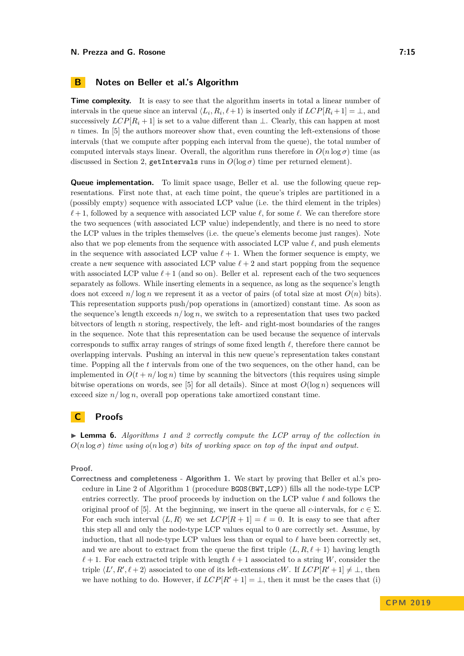<span id="page-14-0"></span>**Time complexity.** It is easy to see that the algorithm inserts in total a linear number of intervals in the queue since an interval  $\langle L_i, R_i, \ell+1 \rangle$  is inserted only if  $LCP[R_i+1] = \bot$ , and successively  $LCP[R_i + 1]$  is set to a value different than  $\perp$ . Clearly, this can happen at most *n* times. In [\[5\]](#page-12-9) the authors moreover show that, even counting the left-extensions of those intervals (that we compute after popping each interval from the queue), the total number of computed intervals stays linear. Overall, the algorithm runs therefore in  $O(n \log \sigma)$  time (as discussed in Section [2,](#page-1-0) getIntervals runs in  $O(\log \sigma)$  time per returned element).

**Queue implementation.** To limit space usage, Beller et al. use the following queue representations. First note that, at each time point, the queue's triples are partitioned in a (possibly empty) sequence with associated LCP value (i.e. the third element in the triples)  $\ell + 1$ , followed by a sequence with associated LCP value  $\ell$ , for some  $\ell$ . We can therefore store the two sequences (with associated LCP value) independently, and there is no need to store the LCP values in the triples themselves (i.e. the queue's elements become just ranges). Note also that we pop elements from the sequence with associated LCP value  $\ell$ , and push elements in the sequence with associated LCP value  $\ell + 1$ . When the former sequence is empty, we create a new sequence with associated LCP value  $\ell + 2$  and start popping from the sequence with associated LCP value  $\ell + 1$  (and so on). Beller et al. represent each of the two sequences separately as follows. While inserting elements in a sequence, as long as the sequence's length does not exceed  $n/\log n$  we represent it as a vector of pairs (of total size at most  $O(n)$  bits). This representation supports push/pop operations in (amortized) constant time. As soon as the sequence's length exceeds  $n/\log n$ , we switch to a representation that uses two packed bitvectors of length *n* storing, respectively, the left- and right-most boundaries of the ranges in the sequence. Note that this representation can be used because the sequence of intervals corresponds to suffix array ranges of strings of some fixed length *`*, therefore there cannot be overlapping intervals. Pushing an interval in this new queue's representation takes constant time. Popping all the *t* intervals from one of the two sequences, on the other hand, can be implemented in  $O(t + n/\log n)$  time by scanning the bitvectors (this requires using simple bitwise operations on words, see [\[5\]](#page-12-9) for all details). Since at most  $O(\log n)$  sequences will exceed size  $n/\log n$ , overall pop operations take amortized constant time.

## <span id="page-14-1"></span>**C Proofs**

<span id="page-14-2"></span>I **Lemma 6.** *Algorithms [1](#page-5-2) and [2](#page-6-0) correctly compute the LCP array of the collection in*  $O(n \log \sigma)$  *time using*  $o(n \log \sigma)$  *bits of working space on top of the input and output.* 

**Proof.**

**Correctness and completeness - Algorithm [1.](#page-5-2)** We start by proving that Beller et al.'s procedure in Line [2](#page-5-1) of Algorithm [1](#page-5-2) (procedure BGOS(BWT,LCP)) fills all the node-type LCP entries correctly. The proof proceeds by induction on the LCP value  $\ell$  and follows the original proof of [\[5\]](#page-12-9). At the beginning, we insert in the queue all *c*-intervals, for  $c \in \Sigma$ . For each such interval  $\langle L, R \rangle$  we set  $LCP[R + 1] = \ell = 0$ . It is easy to see that after this step all and only the node-type LCP values equal to 0 are correctly set. Assume, by induction, that all node-type LCP values less than or equal to  $\ell$  have been correctly set, and we are about to extract from the queue the first triple  $\langle L, R, \ell + 1 \rangle$  having length  $\ell + 1$ . For each extracted triple with length  $\ell + 1$  associated to a string *W*, consider the triple  $\langle L', R', \ell + 2 \rangle$  associated to one of its left-extensions *cW*. If  $LCP[R'+1] \neq \bot$ , then we have nothing to do. However, if  $LCP[R'+1] = \perp$ , then it must be the cases that (i)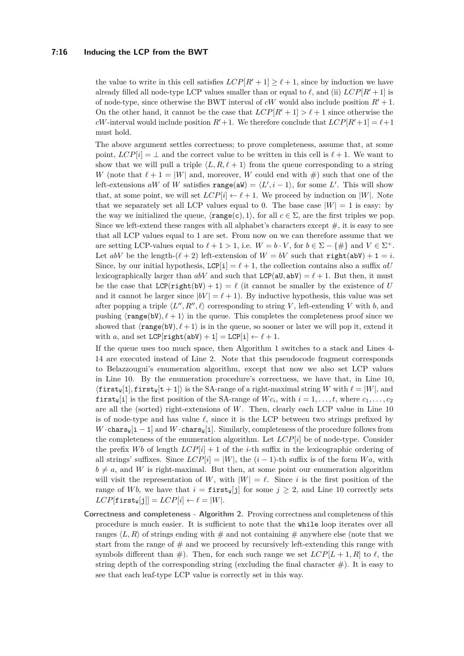#### **7:16 Inducing the LCP from the BWT**

the value to write in this cell satisfies  $LCP[R'+1] \geq \ell + 1$ , since by induction we have already filled all node-type LCP values smaller than or equal to  $\ell$ , and (ii)  $LCP[R+1]$  is of node-type, since otherwise the BWT interval of *cW* would also include position  $R' + 1$ . On the other hand, it cannot be the case that  $LCP[R' + 1] > \ell + 1$  since otherwise the *cW*-interval would include position  $R' + 1$ . We therefore conclude that  $LCP[R'+1] = \ell+1$ must hold.

The above argument settles correctness; to prove completeness, assume that, at some point,  $LCP[i] = \perp$  and the correct value to be written in this cell is  $\ell + 1$ . We want to show that we will pull a triple  $\langle L, R, \ell + 1 \rangle$  from the queue corresponding to a string *W* (note that  $\ell + 1 = |W|$  and, moreover, *W* could end with  $\#$ ) such that one of the left-extensions aW of W satisfies  $\text{range}(\text{aW}) = \langle L', i-1 \rangle$ , for some L'. This will show that, at some point, we will set  $LCP[i] \leftarrow \ell + 1$ . We proceed by induction on |*W*|. Note that we separately set all LCP values equal to 0. The base case  $|W| = 1$  is easy: by the way we initialized the queue,  $\langle \text{range}(c), 1 \rangle$ , for all  $c \in \Sigma$ , are the first triples we pop. Since we left-extend these ranges with all alphabet's characters except  $\#$ , it is easy to see that all LCP values equal to 1 are set. From now on we can therefore assume that we are setting LCP-values equal to  $\ell + 1 > 1$ , i.e.  $W = b \cdot V$ , for  $b \in \Sigma - \{\#\}$  and  $V \in \Sigma^+$ . Let  $abV$  be the length- $(\ell + 2)$  left-extension of  $W = bV$  such that right(abV) + 1 = *i*. Since, by our initial hypothesis,  $LCP[i] = \ell + 1$ , the collection contains also a suffix  $aU$ lexicographically larger than  $abV$  and such that  $LCP(aU, abV) = \ell + 1$ . But then, it must be the case that  $LCP(\text{right}(bV) + 1) = \ell$  (it cannot be smaller by the existence of *U* and it cannot be larger since  $|bV| = \ell + 1$ . By inductive hypothesis, this value was set after popping a triple  $\langle L'', R'', \ell \rangle$  corresponding to string *V*, left-extending *V* with *b*, and pushing  $\langle \text{range}(bV), \ell + 1 \rangle$  in the queue. This completes the completeness proof since we showed that  $\langle \text{range}(bV), \ell + 1 \rangle$  is in the queue, so sooner or later we will pop it, extend it with *a*, and set  $LCP[right(abV) + 1] = LCP[i] \leftarrow \ell + 1$ .

If the queue uses too much space, then Algorithm [1](#page-5-2) switches to a stack and Lines [4-](#page-5-4) [14](#page-5-5) are executed instead of Line [2.](#page-5-1) Note that this pseudocode fragment corresponds to Belazzougui's enumeration algorithm, except that now we also set LCP values in Line [10.](#page-5-6) By the enumeration procedure's correctness, we have that, in Line [10,](#page-5-6)  $\langle$ **first<sub>W</sub>**[1], **first<sub>W</sub>**[t + 1]) is the SA-range of a right-maximal string *W* with  $\ell = |W|$ , and **first**<sub>W</sub>[i] is the first position of the SA-range of  $W c_i$ , with  $i = 1, \ldots, t$ , where  $c_1, \ldots, c_2$ are all the (sorted) right-extensions of *W*. Then, clearly each LCP value in Line [10](#page-5-6) is of node-type and has value  $\ell$ , since it is the LCP between two strings prefixed by *W* · chars<sub>W</sub>[i – 1] and *W* · chars<sub>W</sub>[i]. Similarly, completeness of the procedure follows from the completeness of the enumeration algorithm. Let *LCP*[*i*] be of node-type. Consider the prefix *Wb* of length  $LCP[i] + 1$  of the *i*-th suffix in the lexicographic ordering of all strings' suffixes. Since  $LCP[i] = |W|$ , the  $(i-1)$ -th suffix is of the form  $Wa$ , with  $b \neq a$ , and *W* is right-maximal. But then, at some point our enumeration algorithm will visit the representation of W, with  $|W| = \ell$ . Since *i* is the first position of the range of *Wb*, we have that  $i = \text{first}_{\text{W}}[j]$  for some  $j \geq 2$ , and Line [10](#page-5-6) correctly sets  $LCP$ [first<sub>W</sub>[i]] =  $LCP[i] \leftarrow \ell = |W|$ .

**Correctness and completeness - Algorithm [2.](#page-6-0)** Proving correctness and completeness of this procedure is much easier. It is sufficient to note that the while loop iterates over all ranges  $\langle L, R \rangle$  of strings ending with  $\#$  and not containing  $\#$  anywhere else (note that we start from the range of  $\#$  and we proceed by recursively left-extending this range with symbols different than  $\#$ ). Then, for each such range we set  $LCP[L + 1, R]$  to  $\ell$ , the string depth of the corresponding string (excluding the final character  $#$ ). It is easy to see that each leaf-type LCP value is correctly set in this way.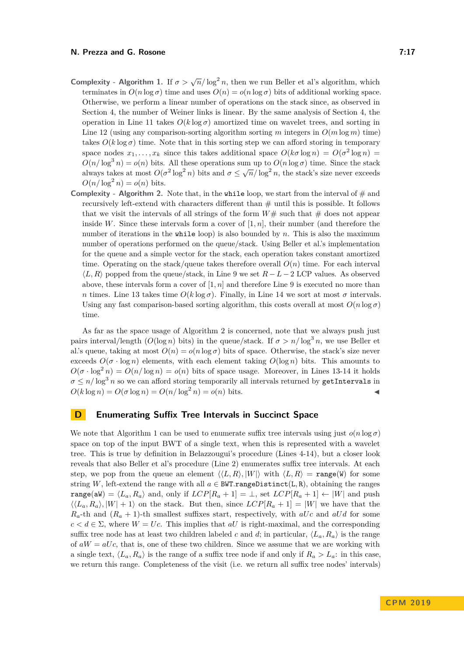- **Complexity Algorithm [1.](#page-5-2)** If  $\sigma > \sqrt{n}/\log^2 n$ , then we run Beller et al's algorithm, which terminates in  $O(n \log \sigma)$  time and uses  $O(n) = o(n \log \sigma)$  bits of additional working space. Otherwise, we perform a linear number of operations on the stack since, as observed in Section [4,](#page-3-0) the number of Weiner links is linear. By the same analysis of Section [4,](#page-3-0) the operation in Line [11](#page-5-3) takes  $O(k \log \sigma)$  amortized time on wavelet trees, and sorting in Line [12](#page-5-7) (using any comparison-sorting algorithm sorting *m* integers in  $O(m \log m)$  time) takes  $O(k \log \sigma)$  time. Note that in this sorting step we can afford storing in temporary space nodes  $x_1, \ldots, x_k$  since this takes additional space  $O(k\sigma \log n) = O(\sigma^2 \log n)$  $O(n/\log^3 n) = o(n)$  bits. All these operations sum up to  $O(n \log \sigma)$  time. Since the stack always takes at most  $O(\sigma^2 \log^2 n)$  bits and  $\sigma \leq \sqrt{n}/\log^2 n$ , the stack's size never exceeds  $O(n/\log^2 n) = o(n)$  bits.
- **Complexity Algorithm [2.](#page-6-0)** Note that, in the while loop, we start from the interval of  $\#$  and recursively left-extend with characters different than  $\#$  until this is possible. It follows that we visit the intervals of all strings of the form  $W#$  such that  $#$  does not appear inside *W*. Since these intervals form a cover of  $[1, n]$ , their number (and therefore the number of iterations in the while loop) is also bounded by *n*. This is also the maximum number of operations performed on the queue/stack. Using Beller et al.'s implementation for the queue and a simple vector for the stack, each operation takes constant amortized time. Operating on the stack/queue takes therefore overall  $O(n)$  time. For each interval  $\langle L, R \rangle$  popped from the queue/stack, in Line [9](#page-6-3) we set  $R - L - 2$  LCP values. As observed above, these intervals form a cover of  $[1, n]$  and therefore Line [9](#page-6-3) is executed no more than *n* times. Line [13](#page-6-1) takes time  $O(k \log σ)$ . Finally, in Line [14](#page-6-4) we sort at most *σ* intervals. Using any fast comparison-based sorting algorithm, this costs overall at most  $O(n \log \sigma)$ time.

As far as the space usage of Algorithm [2](#page-6-0) is concerned, note that we always push just pairs interval/length  $(O(\log n))$  bits) in the queue/stack. If  $\sigma > n/\log^3 n$ , we use Beller et al.'s queue, taking at most  $O(n) = o(n \log \sigma)$  bits of space. Otherwise, the stack's size never exceeds  $O(\sigma \cdot \log n)$  elements, with each element taking  $O(\log n)$  bits. This amounts to  $O(\sigma \cdot \log^2 n) = O(n/\log n) = o(n)$  bits of space usage. Moreover, in Lines [13-](#page-6-1)[14](#page-6-4) it holds  $\sigma \leq n/\log^3 n$  so we can afford storing temporarily all intervals returned by getIntervals in  $O(k \log n) = O(\sigma \log n) = O(n/\log^2 n) = o(n)$  bits.

# <span id="page-16-0"></span>**D Enumerating Suffix Tree Intervals in Succinct Space**

We note that Algorithm [1](#page-5-2) can be used to enumerate suffix tree intervals using just  $o(n \log \sigma)$ space on top of the input BWT of a single text, when this is represented with a wavelet tree. This is true by definition in Belazzougui's procedure (Lines [4-](#page-5-4)[14\)](#page-5-5), but a closer look reveals that also Beller et al's procedure (Line [2\)](#page-5-1) enumerates suffix tree intervals. At each step, we pop from the queue an element  $\langle\langle L, R\rangle, |W|\rangle$  with  $\langle L, R\rangle = \text{range}(W)$  for some string *W*, left-extend the range with all  $a \in BWT.random(L,R)$ , obtaining the ranges range(aW) =  $\langle L_a, R_a \rangle$  and, only if  $LCP[R_a + 1] = \bot$ , set  $LCP[R_a + 1] \leftarrow |W|$  and push  $\langle \langle L_a, R_a \rangle, |W| + 1 \rangle$  on the stack. But then, since  $LCP[R_a + 1] = |W|$  we have that the  $R_a$ -th and  $(R_a + 1)$ -th smallest suffixes start, respectively, with *aUc* and *aUd* for some  $c < d \in \Sigma$ , where  $W = U_c$ . This implies that *aU* is right-maximal, and the corresponding suffix tree node has at least two children labeled *c* and *d*; in particular,  $\langle L_a, R_a \rangle$  is the range of  $aW = aUc$ , that is, one of these two children. Since we assume that we are working with a single text,  $\langle L_a, R_a \rangle$  is the range of a suffix tree node if and only if  $R_a > L_a$ : in this case, we return this range. Completeness of the visit (i.e. we return all suffix tree nodes' intervals)